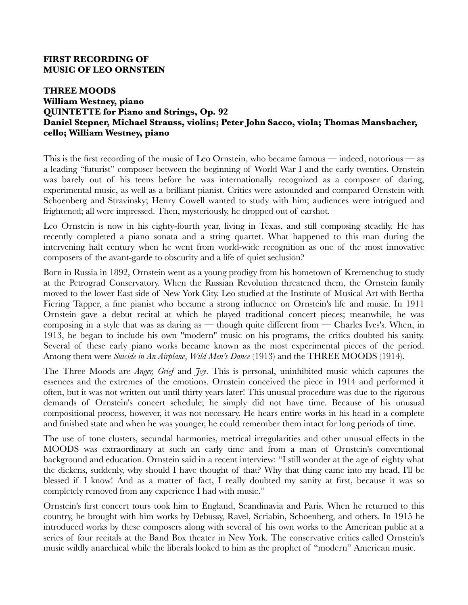## **FIRST RECORDING OF MUSIC OF LEO ORNSTEIN**

## **THREE MOODS William Westney, piano QUINTETTE for Piano and Strings, Op. 92 Daniel Stepner, Michael Strauss, violins; Peter John Sacco, viola; Thomas Mansbacher, cello; William Westney, piano**

This is the first recording of the music of Leo Ornstein, who became famous — indeed, notorious — as a leading "futurist" composer between the beginning of World War I and the early twenties. Ornstein was barely out of his teens before he was internationally recognized as a composer of daring, experimental music, as well as a brilliant pianist. Critics were astounded and compared Ornstein with Schoenberg and Stravinsky; Henry Cowell wanted to study with him; audiences were intrigued and frightened; all were impressed. Then, mysteriously, he dropped out of earshot.

Leo Ornstein is now in his eighty-fourth year, living in Texas, and still composing steadily. He has recently completed a piano sonata and a string quartet. What happened to this man during the intervening halt century when he went from world-wide recognition as one of the most innovative composers of the avant-garde to obscurity and a life of quiet seclusion?

Born in Russia in 1892, Ornstein went as a young prodigy from his hometown of Kremenchug to study at the Petrograd Conservatory. When the Russian Revolution threatened them, the Ornstein family moved to the lower East side of New York City. Leo studied at the Institute of Musical Art with Bertha Fiering Tapper, a fine pianist who became a strong influence on Ornstein's life and music. In 1911 Ornstein gave a debut recital at which he played traditional concert pieces; meanwhile, he was composing in a style that was as daring as — though quite different from — Charles Ives's. When, in 1913, he began to include his own "modern" music on his programs, the critics doubted his sanity. Several of these early piano works became known as the most experimental pieces of the period. Among them were *Suicide in An Airplane*, *Wild Men's Dance* (1913) and the THREE MOODS (1914).

The Three Moods are *Anger, Grief* and *Joy*. This is personal, uninhibited music which captures the essences and the extremes of the emotions. Ornstein conceived the piece in 1914 and performed it often, but it was not written out until thirty years later! This unusual procedure was due to the rigorous demands of Ornstein's concert schedule; he simply did not have time. Because of his unusual compositional process, however, it was not necessary. He hears entire works in his head in a complete and finished state and when he was younger, he could remember them intact for long periods of time.

The use of tone clusters, secundal harmonies, metrical irregularities and other unusual effects in the MOODS was extraordinary at such an early time and from a man of Ornstein's conventional background and education. Ornstein said in a recent interview: "I still wonder at the age of eighty what the dickens, suddenly, why should I have thought of that? Why that thing came into my head, I'll be blessed if I know! And as a matter of fact, I really doubted my sanity at first, because it was so completely removed from any experience I had with music."

Ornstein's first concert tours took him to England, Scandinavia and Paris. When he returned to this country, he brought with him works by Debussy, Ravel, Scriabin, Schoenberg, and others. In 1915 he introduced works by these composers along with several of his own works to the American public at a series of four recitals at the Band Box theater in New York. The conservative critics called Ornstein's music wildly anarchical while the liberals looked to him as the prophet of "modern" American music.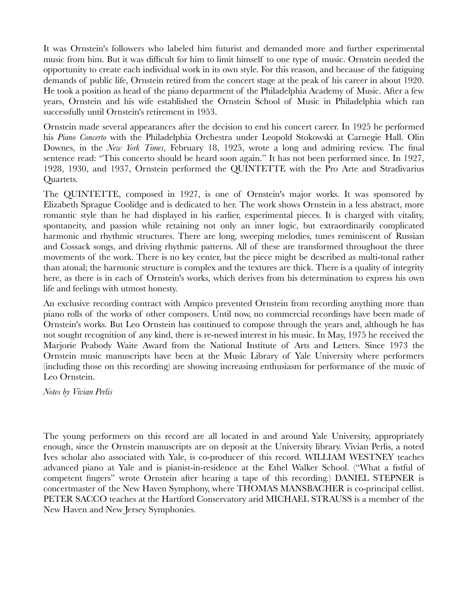It was Ornstein's followers who labeled him futurist and demanded more and further experimental music from him. But it was difficult for him to limit himself to one type of music. Ornstein needed the opportunity to create each individual work in its own style. For this reason, and because of the fatiguing demands of public life, Ornstein retired from the concert stage at the peak of his career in about 1920. He took a position as head of the piano department of the Philadelphia Academy of Music. After a few years, Ornstein and his wife established the Ornstein School of Music in Philadelphia which ran successfully until Ornstein's retirement in 1953.

Ornstein made several appearances after the decision to end his concert career. In 1925 he performed his *Piano Concerto* with the Philadelphia Orchestra under Leopold Stokowski at Carnegie Hall. Olin Downes, in the *New York Times*, February 18, 1925, wrote a long and admiring review. The final sentence read: "This concerto should be heard soon again." It has not been performed since. In 1927, 1928, 1930, and 1937, Ornstein performed the QUINTETTE with the Pro Arte and Stradivarius Quartets.

The QUINTETTE, composed in 1927, is one of Ornstein's major works. It was sponsored by Elizabeth Sprague Coolidge and is dedicated to her. The work shows Ornstein in a less abstract, more romantic style than he had displayed in his earlier, experimental pieces. It is charged with vitality, spontaneity, and passion while retaining not only an inner logic, but extraordinarily complicated harmonic and rhythmic structures. There are long, sweeping melodies, tunes reminiscent of Russian and Cossack songs, and driving rhythmic patterns. All of these are transformed throughout the three movements of the work. There is no key center, but the piece might be described as multi-tonal rather than atonal; the harmonic structure is complex and the textures are thick. There is a quality of integrity here, as there is in each of Ornstein's works, which derives from his determination to express his own life and feelings with utmost honesty.

An exclusive recording contract with Ampico prevented Ornstein from recording anything more than piano rolls of the works of other composers. Until now, no commercial recordings have been made of Ornstein's works. But Leo Ornstein has continued to compose through the years and, although he has not sought recognition of any kind, there is re-newed interest in his music. In May, 1975 he received the Marjorie Peabody Waite Award from the National Institute of Arts and Letters. Since 1973 the Ornstein music manuscripts have been at the Music Library of Yale University where performers (including those on this recording) are showing increasing enthusiasm for performance of the music of Leo Ornstein.

*Notes by Vivian Perlis*

The young performers on this record are all located in and around Yale University, appropriately enough, since the Ornstein manuscripts are on deposit at the University library. Vivian Perlis, a noted Ives scholar also associated with Yale, is co-producer of this record. WILLIAM WESTNEY teaches advanced piano at Yale and is pianist-in-residence at the Ethel Walker School. ("What a fistful of competent fingers" wrote Ornstein after hearing a tape of this recording.) DANIEL STEPNER is concertmaster of the New Haven Symphony, where THOMAS MANSBACHER is co-principal cellist. PETER SACCO teaches at the Hartford Conservatory arid MICHAEL STRAUSS is a member of the New Haven and New Jersey Symphonies.